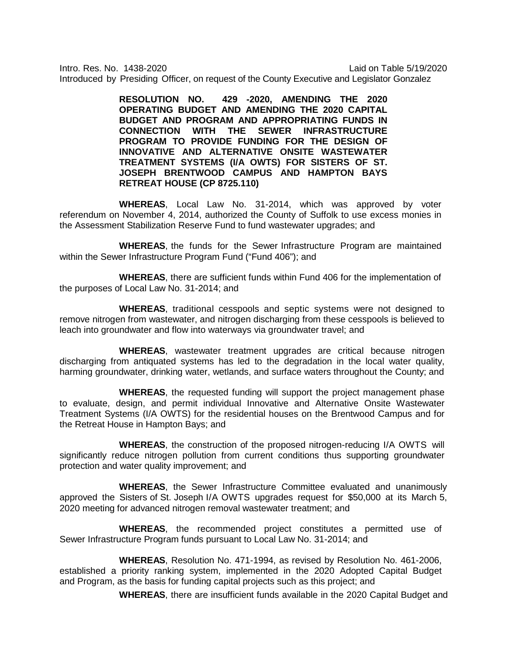Intro. Res. No. 1438-2020 Laid on Table 5/19/2020 Introduced by Presiding Officer, on request of the County Executive and Legislator Gonzalez

> **RESOLUTION NO. 429 -2020, AMENDING THE 2020 OPERATING BUDGET AND AMENDING THE 2020 CAPITAL BUDGET AND PROGRAM AND APPROPRIATING FUNDS IN CONNECTION WITH THE SEWER INFRASTRUCTURE PROGRAM TO PROVIDE FUNDING FOR THE DESIGN OF INNOVATIVE AND ALTERNATIVE ONSITE WASTEWATER TREATMENT SYSTEMS (I/A OWTS) FOR SISTERS OF ST. JOSEPH BRENTWOOD CAMPUS AND HAMPTON BAYS RETREAT HOUSE (CP 8725.110)**

**WHEREAS**, Local Law No. 31-2014, which was approved by voter referendum on November 4, 2014, authorized the County of Suffolk to use excess monies in the Assessment Stabilization Reserve Fund to fund wastewater upgrades; and

**WHEREAS**, the funds for the Sewer Infrastructure Program are maintained within the Sewer Infrastructure Program Fund ("Fund 406"); and

**WHEREAS**, there are sufficient funds within Fund 406 for the implementation of the purposes of Local Law No. 31-2014; and

**WHEREAS**, traditional cesspools and septic systems were not designed to remove nitrogen from wastewater, and nitrogen discharging from these cesspools is believed to leach into groundwater and flow into waterways via groundwater travel; and

**WHEREAS**, wastewater treatment upgrades are critical because nitrogen discharging from antiquated systems has led to the degradation in the local water quality, harming groundwater, drinking water, wetlands, and surface waters throughout the County; and

**WHEREAS**, the requested funding will support the project management phase to evaluate, design, and permit individual Innovative and Alternative Onsite Wastewater Treatment Systems (I/A OWTS) for the residential houses on the Brentwood Campus and for the Retreat House in Hampton Bays; and

**WHEREAS**, the construction of the proposed nitrogen-reducing I/A OWTS will significantly reduce nitrogen pollution from current conditions thus supporting groundwater protection and water quality improvement; and

**WHEREAS**, the Sewer Infrastructure Committee evaluated and unanimously approved the Sisters of St. Joseph I/A OWTS upgrades request for \$50,000 at its March 5, 2020 meeting for advanced nitrogen removal wastewater treatment; and

**WHEREAS**, the recommended project constitutes a permitted use of Sewer Infrastructure Program funds pursuant to Local Law No. 31-2014; and

**WHEREAS**, Resolution No. 471-1994, as revised by Resolution No. 461-2006, established a priority ranking system, implemented in the 2020 Adopted Capital Budget and Program, as the basis for funding capital projects such as this project; and

**WHEREAS**, there are insufficient funds available in the 2020 Capital Budget and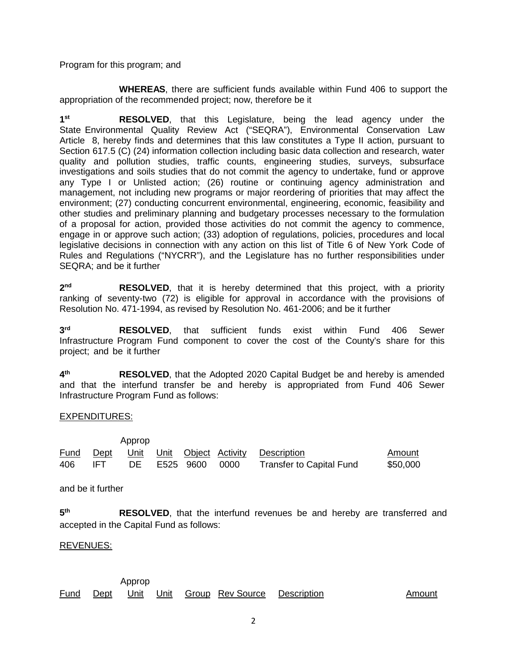Program for this program; and

**WHEREAS**, there are sufficient funds available within Fund 406 to support the appropriation of the recommended project; now, therefore be it

**1st RESOLVED**, that this Legislature, being the lead agency under the State Environmental Quality Review Act ("SEQRA"), Environmental Conservation Law Article 8, hereby finds and determines that this law constitutes a Type II action, pursuant to Section 617.5 (C) (24) information collection including basic data collection and research, water quality and pollution studies, traffic counts, engineering studies, surveys, subsurface investigations and soils studies that do not commit the agency to undertake, fund or approve any Type I or Unlisted action; (26) routine or continuing agency administration and management, not including new programs or major reordering of priorities that may affect the environment; (27) conducting concurrent environmental, engineering, economic, feasibility and other studies and preliminary planning and budgetary processes necessary to the formulation of a proposal for action, provided those activities do not commit the agency to commence, engage in or approve such action; (33) adoption of regulations, policies, procedures and local legislative decisions in connection with any action on this list of Title 6 of New York Code of Rules and Regulations ("NYCRR"), and the Legislature has no further responsibilities under SEQRA; and be it further

**2nd RESOLVED**, that it is hereby determined that this project, with a priority ranking of seventy-two (72) is eligible for approval in accordance with the provisions of Resolution No. 471-1994, as revised by Resolution No. 461-2006; and be it further

**3rd RESOLVED**, that sufficient funds exist within Fund 406 Sewer Infrastructure Program Fund component to cover the cost of the County's share for this project; and be it further

**4th RESOLVED**, that the Adopted 2020 Capital Budget be and hereby is amended and that the interfund transfer be and hereby is appropriated from Fund 406 Sewer Infrastructure Program Fund as follows:

## EXPENDITURES:

|      |       | Approp |                   |                                                 |          |
|------|-------|--------|-------------------|-------------------------------------------------|----------|
|      |       |        |                   | Fund Dept Unit Unit Object Activity Description | Amount   |
| 406. | -IET- |        | DE E525 9600 0000 | Transfer to Capital Fund                        | \$50,000 |

and be it further

**5th RESOLVED**, that the interfund revenues be and hereby are transferred and accepted in the Capital Fund as follows:

## REVENUES:

 Approp Fund Dept Unit Unit Group Rev Source Description Contract Amount